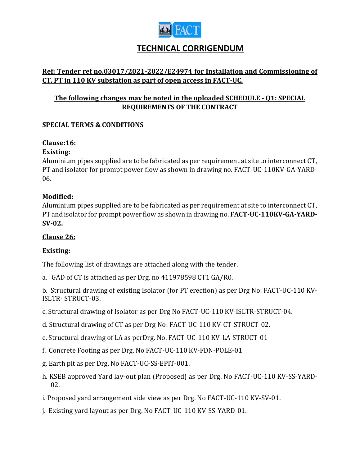

# **TECHNICAL CORRIGENDUM**

# **Ref: Tender ref no.03017/2021-2022/E24974 for Installation and Commissioning of CT, PT in 110 KV substation as part of open access in FACT-UC.**

# **The following changes may be noted in the uploaded SCHEDULE - Q1: SPECIAL REQUIREMENTS OF THE CONTRACT**

## **SPECIAL TERMS & CONDITIONS**

# **Clause:16:**

#### **Existing:**

Aluminium pipes supplied are to be fabricated as per requirement at site to interconnect CT, PT and isolator for prompt power flow as shown in drawing no. FACT-UC-110KV-GA-YARD-06.

#### **Modified:**

Aluminium pipes supplied are to be fabricated as per requirement at site to interconnect CT, PT and isolator for prompt power flow as shown in drawing no. **FACT-UC-110KV-GA-YARD-SV-02.**

## **Clause 26:**

## **Existing:**

The following list of drawings are attached along with the tender.

a. GAD of CT is attached as per Drg. no 411978598 CT1 GA/R0.

b. Structural drawing of existing Isolator (for PT erection) as per Drg No: FACT-UC-110 KV-ISLTR- STRUCT-03.

- c. Structural drawing of Isolator as per Drg No FACT-UC-110 KV-ISLTR-STRUCT-04.
- d. Structural drawing of CT as per Drg No: FACT-UC-110 KV-CT-STRUCT-02.
- e. Structural drawing of LA as perDrg. No. FACT-UC-110 KV-LA-STRUCT-01
- f. Concrete Footing as per Drg. No FACT-UC-110 KV-FDN-POLE-01
- g. Earth pit as per Drg. No FACT-UC-SS-EPIT-001.
- h. KSEB approved Yard lay-out plan (Proposed) as per Drg. No FACT-UC-110 KV-SS-YARD-02.
- i. Proposed yard arrangement side view as per Drg. No FACT-UC-110 KV-SV-01.
- j. Existing yard layout as per Drg. No FACT-UC-110 KV-SS-YARD-01.